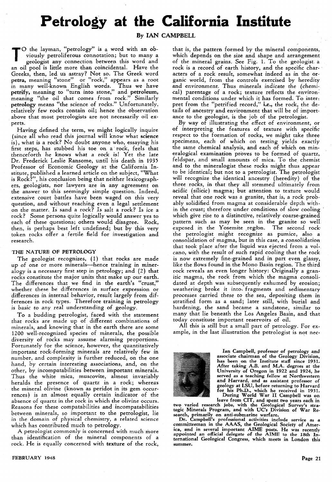## **Petrology at the California Institute**

**By IAN CAMPBELL** 

O the layman, "petrology" is a word with an obviously petroliferous connotation; but to many a geologist any connection between this word and viously petroliferous connotation; but to many a geologist any connection between this word and an oil pool is little more than coincidental. Have the Greeks, then, led us astray? Not so. The Greek word petra, meaning "stone" or "rock," appears as a root in many well-known English words. Thus we have petrify, meaning to "turn into stone," and petroleum, meaning "the oil that comes from rock." Similarly petrology means "the science of rocks." Unfortunately, relatively few rocks contain oil; hence the observation above that most petrologists are not necessarily oil experts.

Having defined the term, we might logically inquire (since all who read this journal will know what science is), what is a rock? No doubt anyone who, essaying his first steps, has stubbed his toe on a· rock, feels that thenceforth he knows what a rock is! Yet the late Dr. Frederick Leslie Ransome, until his death in 1935 Professor of Economic Geology at the California In· stitute, published a learned article on the subject, "What is Rock?", his conclusion being that neither lexicographers, geologists, nor lawyers are in any agreement on the answer to this seemingly simple question. Indeed, extensive court battles have been waged on this very question, and without reaching even a legal settlement on the matter. Is sand a rock? Is salt a rock? Is ice a rock? Some persons quite logically would answer yes to each of these questions; others would disagree. Rock, then, is perhaps best left undefined; but by this very token rocks offer a fertile field for investigation and research.

## THE NATURE OF PETROLOGY

The geologist recognizes, (1) that rocks are made up of one or more minerals—hence training in mineralogy is a necessary first step in petrology; and (2) that rocks constitute the major units that make up our earth. The differences that we find in the earth's "crust," whether these be differences in surface expression or differences in internal behavior, result largely from differences in rock types. Therefore training in petrology is basic to any real understanding of geology.

To a budding petrologist, faced with the statement that rocks are made up of different combinations of minerals, and knowing that in the earth there are some 1200 well-recognized species of minerals, the possible diversity of rocks may assume alarming proportions. Fortunately for the science, however, the quantitatively important rock-forming minerals are relatively few in number, and complexity is further reduced, on the one hand, by certain interesting associations, and, on the other, by incompatabilities between important minerals. Thus the white mica, muscovite, almost invariably heralds the presence of quartz in a rock; whereas the mineral olivine (known as peridot in its gem occurrences) is an almost equally certain indicator of the absence of quartz in the rock in which the olivine occurs. Reasons for these compatabilities and incompatabilities between minerals, so important to the petrologist, lie in the domain of physical chemistry, a related science which has contributed much to petrology.

A petrologist commonly is concerned with much more than identification of the mineral components of a rock. He is equally concerned with texture of the rock,

that is, the pattern formed by the mineral components, which depends on the size and shape and arrangement of the mineral grains. See Fig. 1. To the geologist. a rock is a record of earth history, and the specific characters of a rock result, somewhat indeed as in the organic world, from the controls exercised by heredity and environment. Thus minerals indicate the (chemical) parentage of a rock; texture reflects the environ: mental conditions under which it has formed. To interpret from the "petrified record," i.e., the rock, the details of ancestry and environment that will be of importance to the geologist, is the job of the petrologist.

By way of illustrating the effect of environment, or of interpreting the features of texture with specific respect to the formation of rocks, we might take three specimens, each of which on testing yields exactly the same chemical analysis, and each of which on mineralogical examination proves to be formed of quartz, feldspar, and small amounts of mica. To the chemist and to the mineralogist these rocks might thus appear to be identical; but not to a petrologist. The petrologist will recognize the identical ancestry (heredity) of 'the three rocks, in that they all stemmed ultimately from acidic (silicic) magma; but attention to texture would reveal that one rock was a granite, that is, a rock prob. ably solidified from magma at considerable depth within the crust; therefore under conditions of slow cooling which give rise to a distinctive, relatively coarse-grained pattern such as may be seen in the granite so well exposed in the Yosemite region. The second rock the petrologist might recognize as pumice, also a consolidation of magma, but in this case, a consolidation that took place after the liquid was ejected from a volcano, with the result of such rapid cooling that the rock is now extremely fine-grained and in part even glassy, like the flows found in the Mono Basin region. The third rock reveals an even longer history: Originally a granitic magma, the rock from which the magma consolidated at depth was subsequently exhumed by erosion; weathering broke it into, fragments and sedimentary processes carried these to the sea, depositing them in stratified form as a sand; later still, with burial and hardening, the sand became a sandstone, similar to many that lie beneath the Los Angeles Basin, and that today constitute important reservoirs of oil.

All this is stilI but a small part of petrology. For ex· ample, in the last illustration the petrologist is not nee-



Ian Campbell, professor of petrology and associate chairman of the Geology Division, has been on the Institute staff since 1931. After taking A.B. and M.A. degrees at the University of Oregon in 1922 and 1924, he served as a teaching fellow at Northwestern and Harvard, and as assistant professor of geology at LSU, before returning to Harvard for his Ph.D., which he received in 1931. During World War II Campbell was on

leave from CIT, and spent two years each in<br>two varied research jobs, with the Geological Survey's stra-<br>tegic Minerals Program, and with UC's Division of War Re-

search, primarily on anti-submarine warfare. Dr. Campbell's professional activities include service as a committeeman in the AAAS, the Geological Society of America-, and in several important AIME posts. He was recently appointed an official delegate of the AIME to the 18th In. ternational Geological Congress, which meets in London this summer.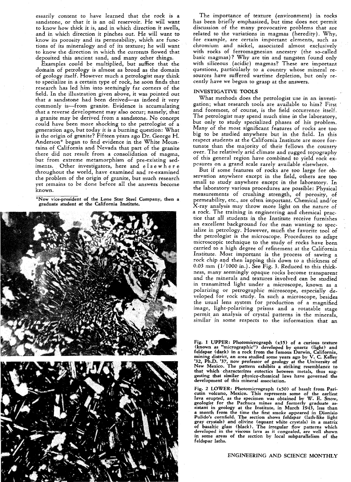essarily content to have learned that the rock is a sandstone, or that it is an oil reservoir. He will want to know how thick it is, and in which direction it swells, and in which direction it pinches out. He will want to know its porosity and its permeability, which are functions of its mineralogy and of its texture; he will want to know the direction in which the currents flowed that deposited this ancient sand, and many other things.

Examples could be multiplied, but suffice that the domain of petrology is almost as broad as the domain of geology itself. However much a petrologist may think to specialize in a certain type of rock, he soon finds that research has led him into seemingly far corners of the field. In the illustration given above, it was pointed out that a sandstone had been derived-as indeed it very commonly is-from granite. Evidence is accumulating that a reverse development may also occur; namely; that a granite may be derived from a sandstone. No concept could have been more shocking to the petrologist of a generation ago, but today it is a burning question: What is the origin of granite? Fifteen years ago Dr. George H. Anderson\* began to find evidence in the White Mountains of California and Nevada that part of the granite there did not result from a consolidation of magma, but from extreme metamorphism of pre-existing sediments. Other investigators, here and e I sew her e throughout the world, have examined and re-examined the problem of the origin of granite, but much research yet remains to be done before all the answers become known.

\*Now vice-president of the Lone Star Steel Company, then a graduate student at the California Institute.



The importance of texture (environment) in rocks has been briefly emphasized, but time does not permit discussion of the many provocative problems that are related to the variations in magmas (heredity). Why, for example, are certain important elements, such as chromium and nickel, associated almost exclusively with rocks of ferromagnesian ancestry (the so-called basic magmas)? Why are tin and tungsten found only with siliceous (acidic) magmas? These are important questions, particularly to a country whose mineral resources have suffered wartime depletion, but only recently have we begun to grasp at the answers.

## INVESTIGATIVE TOOLS

What methods does the petrologist use in an investigation; what research tools are available to him? First and foremost, of course, is the field occurrence itself. The petrologist may spend much time in the laboratory, but only to study specialized phases of his problem. Many of the most significant features of rocks are too big to be studied anywhere but in the field. In this respect students at the California Institute are more fortunate than the majority of their fellows the country over. The relatively arid climate and rugged topography of this general region have combined to yield rock expcsures on a grand scale rarely available elsewhere.

But if some features of rocks are too large for observation anywhere except in the field, others are too small to study anywhere except in the laboratory. In the laboratory various procedures are possible: Physical measurements of crushing strength, of porosity, of permeability, etc., are often important. Chemical and/or X-ray analysis may throw more light on the nature of a rock. The training in engineering and chemical practice that all students in the Institute receive furnishes an excellent background for the man wanting to specialize in petrology. However, much the favorite tool of the petrologist is the microscope. Procedures to adapt microscopic technique to the study of rocks have been carried to a high degree of refinement at the California Institute. Most important is the. process of sawing a rock chip and then lapping this down to a thickness of 0.03 mm  $(1/1000 \text{ in.})$ . See Fig. 3. Reduced to this thickness, many seemingly opaque rocks become transparent and the minerals and textures involved can be studied in transmitted light under a microscope, known as a polarizing or petrographic microscope, especially developed for rock study. In such a microscope, besides the usual lens system for production of a magnified image, light-polarizing prisms and a rotatable stage permit an analysis of crystal patterns in the minerals, similar in some respects to the information that an

Fig. 1 UPPER: Photomicrograph (x35) of a curious texture (known as "micrographic") developed by quartz (light) and feldspar (dark) in a rock from the famous Darwin, California, mining district, an area studied some years ago by V. C. Kelley '32, Ph.D. '37, now professor of geolo New Mexico. The pattern exhibits a striking resemblance to that which characterizes eutectics between metals, thus suggesting that similar physico-chemical laws have governed the development of this mineral association.

Fig. 2 LOWER: Photomicrograph (x50) of basalt from Pari-cutin volcano, Mexico. This represents some of the earliest lava erupted, as the specimen was obtained by W. E. Snow, geologist for the Pachuca mines and formerly graduate assistant in geology at the Institute, in March 1943, less than a month from the time the first smoke appeared in Dionisio Pulido's cornfield. The section shows feldspar (lath-like light gray crystals) and olivine (equant white crystals) in a matrix of basaltic glass (black). The irregular flow patterns which developed in the viscous lava as it congealed, are well shown in some areas of the section by local subparallelism of the feldspar laths.